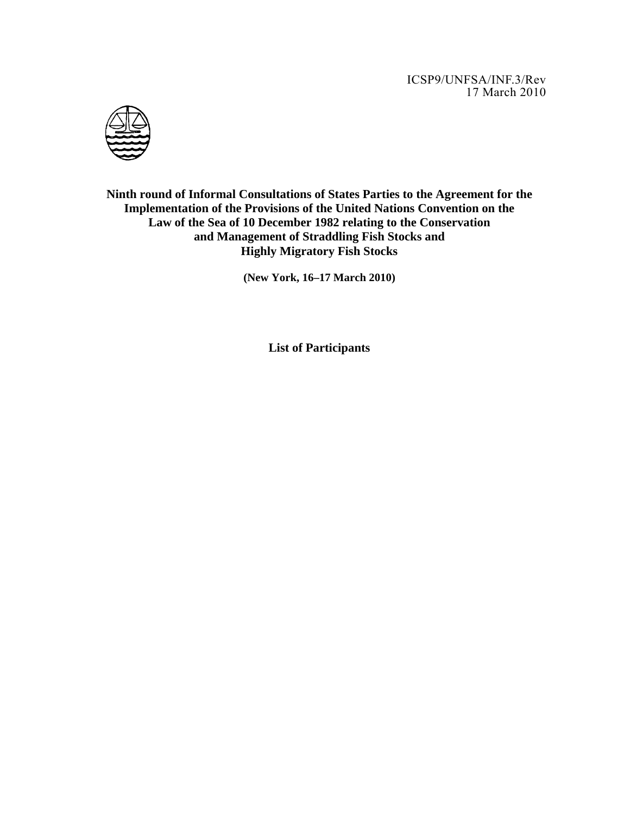ICSP9/UNFSA/INF.3/Rev 17 March 2010



**Ninth round of Informal Consultations of States Parties to the Agreement for the Implementation of the Provisions of the United Nations Convention on the Law of the Sea of 10 December 1982 relating to the Conservation and Management of Straddling Fish Stocks and Highly Migratory Fish Stocks** 

**(New York, 16–17 March 2010)** 

**List of Participants**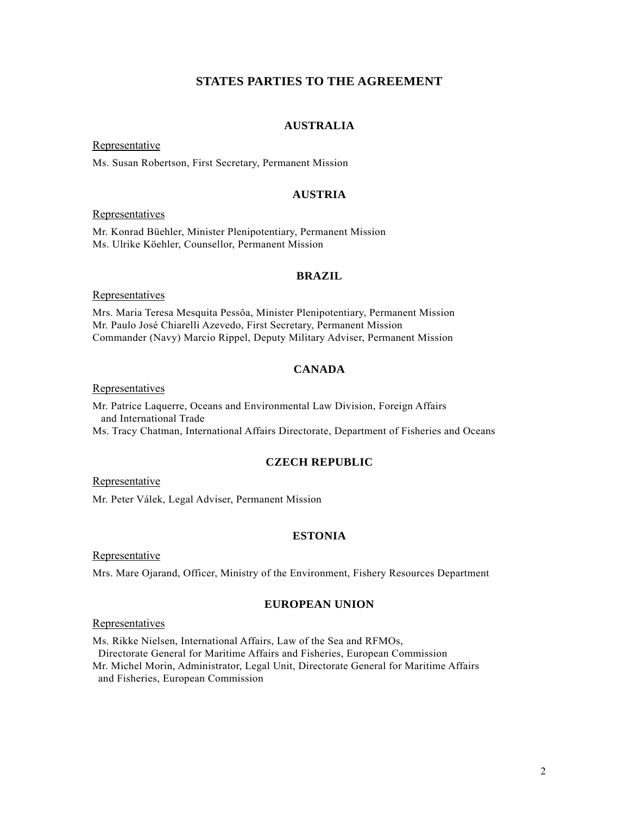# **STATES PARTIES TO THE AGREEMENT**

## **AUSTRALIA**

Representative

Ms. Susan Robertson, First Secretary, Permanent Mission

## **AUSTRIA**

### Representatives

Mr. Konrad Büehler, Minister Plenipotentiary, Permanent Mission Ms. Ulrike Köehler, Counsellor, Permanent Mission

### **BRAZIL**

### Representatives

Mrs. Maria Teresa Mesquita Pessôa, Minister Plenipotentiary, Permanent Mission Mr. Paulo José Chiarelli Azevedo, First Secretary, Permanent Mission Commander (Navy) Marcio Rippel, Deputy Military Adviser, Permanent Mission

## **CANADA**

**Representatives** 

Mr. Patrice Laquerre, Oceans and Environmental Law Division, Foreign Affairs and International Trade Ms. Tracy Chatman, International Affairs Directorate, Department of Fisheries and Oceans

### **CZECH REPUBLIC**

Representative

Mr. Peter Válek, Legal Adviser, Permanent Mission

## **ESTONIA**

Representative

Mrs. Mare Ojarand, Officer, Ministry of the Environment, Fishery Resources Department

## **EUROPEAN UNION**

Representatives

Ms. Rikke Nielsen, International Affairs, Law of the Sea and RFMOs, Directorate General for Maritime Affairs and Fisheries, European Commission Mr. Michel Morin, Administrator, Legal Unit, Directorate General for Maritime Affairs

and Fisheries, European Commission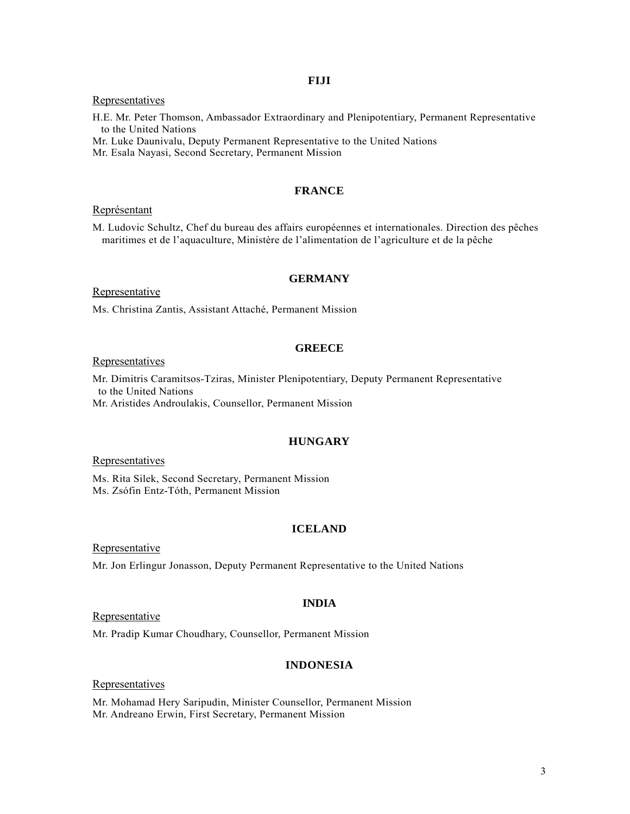## **FIJI**

### Representatives

H.E. Mr. Peter Thomson, Ambassador Extraordinary and Plenipotentiary, Permanent Representative to the United Nations

Mr. Luke Daunivalu, Deputy Permanent Representative to the United Nations

Mr. Esala Nayasi, Second Secretary, Permanent Mission

## **FRANCE**

### Représentant

M. Ludovic Schultz, Chef du bureau des affairs européennes et internationales. Direction des pêches maritimes et de l'aquaculture, Ministère de l'alimentation de l'agriculture et de la pêche

### **GERMANY**

Representative

Ms. Christina Zantis, Assistant Attaché, Permanent Mission

### **GREECE**

### **Representatives**

Mr. Dimitris Caramitsos-Tziras, Minister Plenipotentiary, Deputy Permanent Representative to the United Nations

Mr. Aristides Androulakis, Counsellor, Permanent Mission

# **HUNGARY**

Representatives

Ms. Rita Silek, Second Secretary, Permanent Mission Ms. Zsófin Entz-Tóth, Permanent Mission

# **ICELAND**

Representative

Mr. Jon Erlingur Jonasson, Deputy Permanent Representative to the United Nations

## **INDIA**

Representative

Mr. Pradip Kumar Choudhary, Counsellor, Permanent Mission

# **INDONESIA**

### Representatives

Mr. Mohamad Hery Saripudin, Minister Counsellor, Permanent Mission Mr. Andreano Erwin, First Secretary, Permanent Mission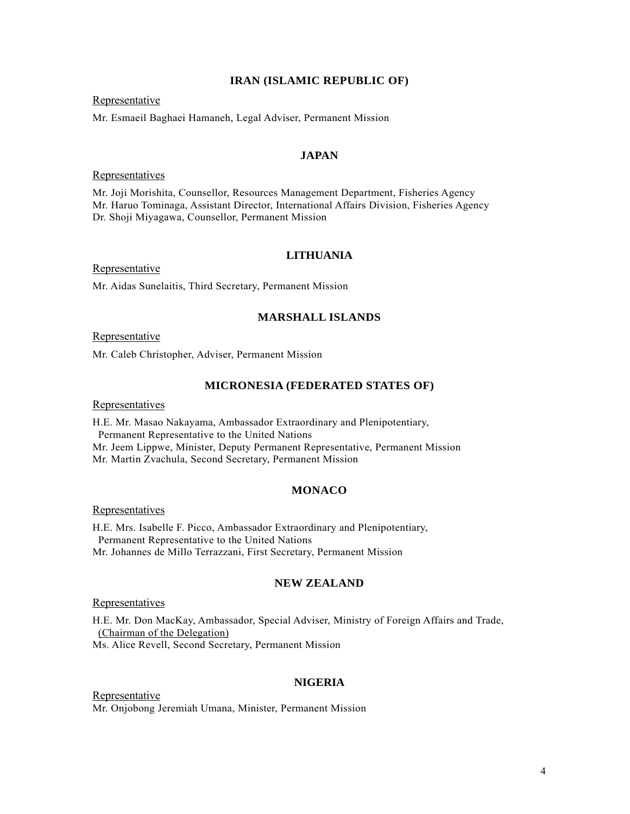### **IRAN (ISLAMIC REPUBLIC OF)**

### Representative

Mr. Esmaeil Baghaei Hamaneh, Legal Adviser, Permanent Mission

## **JAPAN**

Representatives

Mr. Joji Morishita, Counsellor, Resources Management Department, Fisheries Agency Mr. Haruo Tominaga, Assistant Director, International Affairs Division, Fisheries Agency Dr. Shoji Miyagawa, Counsellor, Permanent Mission

## **LITHUANIA**

Representative

Mr. Aidas Sunelaitis, Third Secretary, Permanent Mission

### **MARSHALL ISLANDS**

#### **Representative**

Mr. Caleb Christopher, Adviser, Permanent Mission

### **MICRONESIA (FEDERATED STATES OF)**

**Representatives** 

H.E. Mr. Masao Nakayama, Ambassador Extraordinary and Plenipotentiary, Permanent Representative to the United Nations Mr. Jeem Lippwe, Minister, Deputy Permanent Representative, Permanent Mission Mr. Martin Zvachula, Second Secretary, Permanent Mission

### **MONACO**

#### Representatives

H.E. Mrs. Isabelle F. Picco, Ambassador Extraordinary and Plenipotentiary, Permanent Representative to the United Nations Mr. Johannes de Millo Terrazzani, First Secretary, Permanent Mission

## **NEW ZEALAND**

#### Representatives

H.E. Mr. Don MacKay, Ambassador, Special Adviser, Ministry of Foreign Affairs and Trade, (Chairman of the Delegation) Ms. Alice Revell, Second Secretary, Permanent Mission

### **NIGERIA**

**Representative** Mr. Onjobong Jeremiah Umana, Minister, Permanent Mission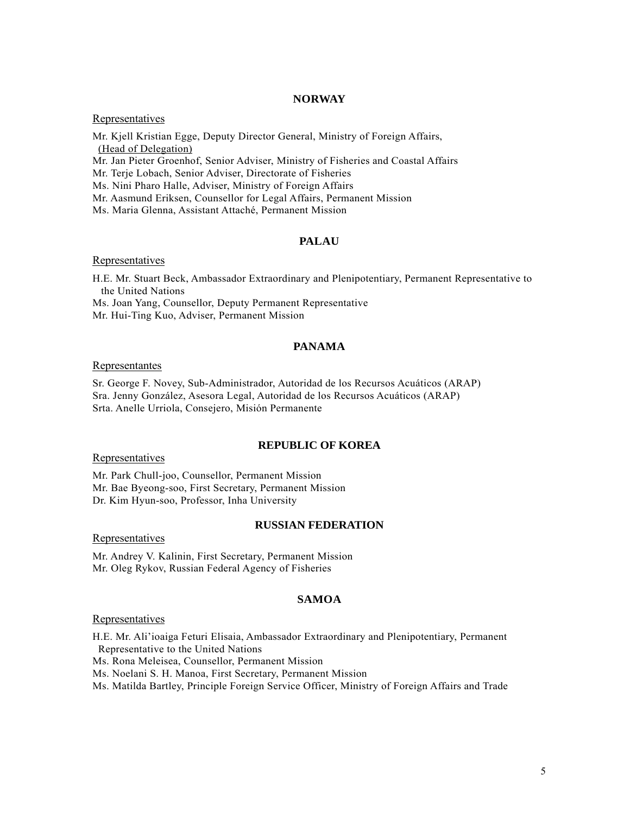### **NORWAY**

Representatives

Mr. Kjell Kristian Egge, Deputy Director General, Ministry of Foreign Affairs, (Head of Delegation)

Mr. Jan Pieter Groenhof, Senior Adviser, Ministry of Fisheries and Coastal Affairs

Mr. Terje Lobach, Senior Adviser, Directorate of Fisheries

Ms. Nini Pharo Halle, Adviser, Ministry of Foreign Affairs

Mr. Aasmund Eriksen, Counsellor for Legal Affairs, Permanent Mission

Ms. Maria Glenna, Assistant Attaché, Permanent Mission

### **PALAU**

### Representatives

H.E. Mr. Stuart Beck, Ambassador Extraordinary and Plenipotentiary, Permanent Representative to the United Nations

Ms. Joan Yang, Counsellor, Deputy Permanent Representative

Mr. Hui-Ting Kuo, Adviser, Permanent Mission

## **PANAMA**

#### Representantes

Sr. George F. Novey, Sub-Administrador, Autoridad de los Recursos Acuáticos (ARAP) Sra. Jenny González, Asesora Legal, Autoridad de los Recursos Acuáticos (ARAP) Srta. Anelle Urriola, Consejero, Misión Permanente

### **REPUBLIC OF KOREA**

**Representatives** 

Mr. Park Chull-joo, Counsellor, Permanent Mission Mr. Bae Byeong-soo, First Secretary, Permanent Mission Dr. Kim Hyun-soo, Professor, Inha University

## **RUSSIAN FEDERATION**

Representatives

Mr. Andrey V. Kalinin, First Secretary, Permanent Mission Mr. Oleg Rykov, Russian Federal Agency of Fisheries

## **SAMOA**

### Representatives

H.E. Mr. Ali'ioaiga Feturi Elisaia, Ambassador Extraordinary and Plenipotentiary, Permanent Representative to the United Nations

Ms. Rona Meleisea, Counsellor, Permanent Mission

Ms. Noelani S. H. Manoa, First Secretary, Permanent Mission

Ms. Matilda Bartley, Principle Foreign Service Officer, Ministry of Foreign Affairs and Trade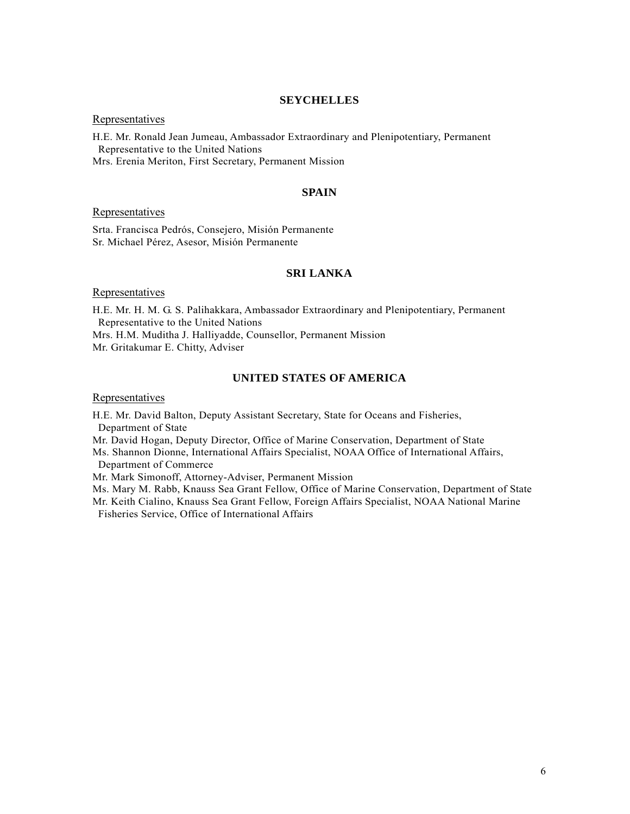### **SEYCHELLES**

### **Representatives**

H.E. Mr. Ronald Jean Jumeau, Ambassador Extraordinary and Plenipotentiary, Permanent Representative to the United Nations Mrs. Erenia Meriton, First Secretary, Permanent Mission

### **SPAIN**

### Representatives

Srta. Francisca Pedrós, Consejero, Misión Permanente Sr. Michael Pérez, Asesor, Misión Permanente

## **SRI LANKA**

#### **Representatives**

H.E. Mr. H. M. G. S. Palihakkara, Ambassador Extraordinary and Plenipotentiary, Permanent Representative to the United Nations Mrs. H.M. Muditha J. Halliyadde, Counsellor, Permanent Mission Mr. Gritakumar E. Chitty, Adviser

## **UNITED STATES OF AMERICA**

### Representatives

H.E. Mr. David Balton, Deputy Assistant Secretary, State for Oceans and Fisheries, Department of State

Mr. David Hogan, Deputy Director, Office of Marine Conservation, Department of State

Ms. Shannon Dionne, International Affairs Specialist, NOAA Office of International Affairs, Department of Commerce

Mr. Mark Simonoff, Attorney-Adviser, Permanent Mission

Ms. Mary M. Rabb, Knauss Sea Grant Fellow, Office of Marine Conservation, Department of State

Mr. Keith Cialino, Knauss Sea Grant Fellow, Foreign Affairs Specialist, NOAA National Marine Fisheries Service, Office of International Affairs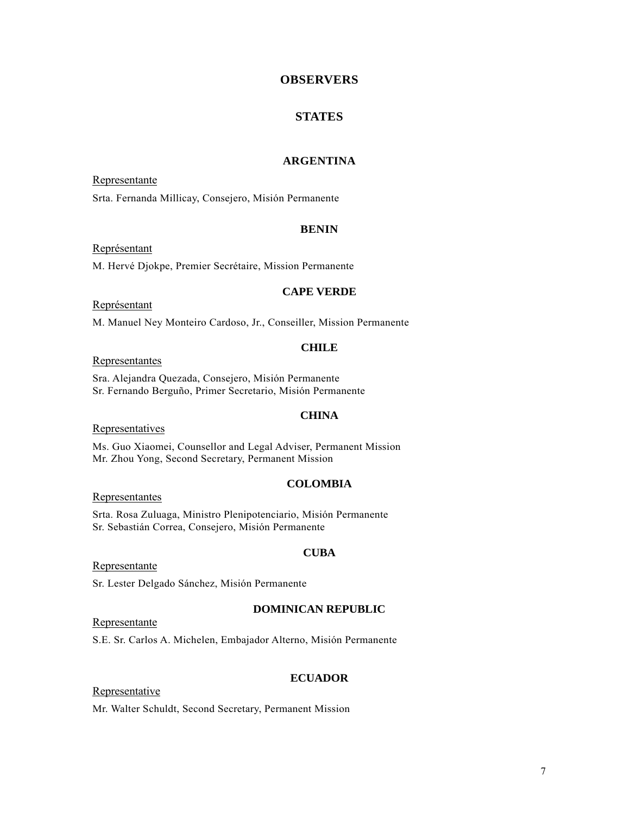# **OBSERVERS**

## **STATES**

### **ARGENTINA**

Representante Srta. Fernanda Millicay, Consejero, Misión Permanente

#### **BENIN**

Représentant

M. Hervé Djokpe, Premier Secrétaire, Mission Permanente

### **CAPE VERDE**

## Représentant

M. Manuel Ney Monteiro Cardoso, Jr., Conseiller, Mission Permanente

#### **CHILE**

### Representantes

Sra. Alejandra Quezada, Consejero, Misión Permanente Sr. Fernando Berguño, Primer Secretario, Misión Permanente

#### **CHINA**

#### **Representatives**

Ms. Guo Xiaomei, Counsellor and Legal Adviser, Permanent Mission Mr. Zhou Yong, Second Secretary, Permanent Mission

#### **COLOMBIA**

### Representantes

Srta. Rosa Zuluaga, Ministro Plenipotenciario, Misión Permanente Sr. Sebastián Correa, Consejero, Misión Permanente

#### **CUBA**

#### Representante

Sr. Lester Delgado Sánchez, Misión Permanente

### **DOMINICAN REPUBLIC**

Representante

S.E. Sr. Carlos A. Michelen, Embajador Alterno, Misión Permanente

## **ECUADOR**

### Representative

Mr. Walter Schuldt, Second Secretary, Permanent Mission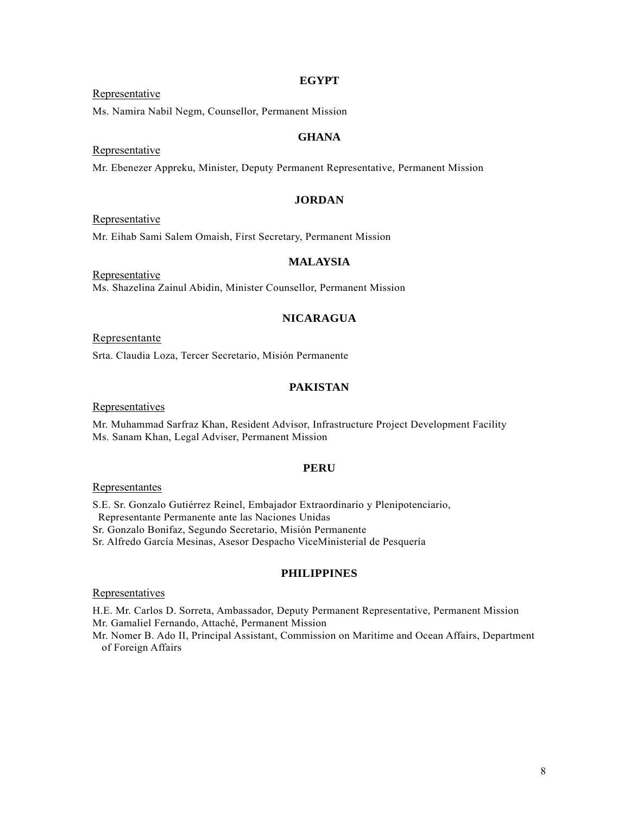### **EGYPT**

### Representative

Ms. Namira Nabil Negm, Counsellor, Permanent Mission

# **GHANA**

### Representative

Mr. Ebenezer Appreku, Minister, Deputy Permanent Representative, Permanent Mission

# **JORDAN**

### Representative

Mr. Eihab Sami Salem Omaish, First Secretary, Permanent Mission

# **MALAYSIA**

Representative Ms. Shazelina Zainul Abidin, Minister Counsellor, Permanent Mission

## **NICARAGUA**

### Representante

Srta. Claudia Loza, Tercer Secretario, Misión Permanente

## **PAKISTAN**

### Representatives

Mr. Muhammad Sarfraz Khan, Resident Advisor, Infrastructure Project Development Facility Ms. Sanam Khan, Legal Adviser, Permanent Mission

#### **PERU**

#### **Representantes**

S.E. Sr. Gonzalo Gutiérrez Reinel, Embajador Extraordinario y Plenipotenciario, Representante Permanente ante las Naciones Unidas

Sr. Gonzalo Bonifaz, Segundo Secretario, Misión Permanente

Sr. Alfredo García Mesinas, Asesor Despacho ViceMinisterial de Pesquería

## **PHILIPPINES**

## **Representatives**

H.E. Mr. Carlos D. Sorreta, Ambassador, Deputy Permanent Representative, Permanent Mission Mr. Gamaliel Fernando, Attaché, Permanent Mission

Mr. Nomer B. Ado II, Principal Assistant, Commission on Maritime and Ocean Affairs, Department of Foreign Affairs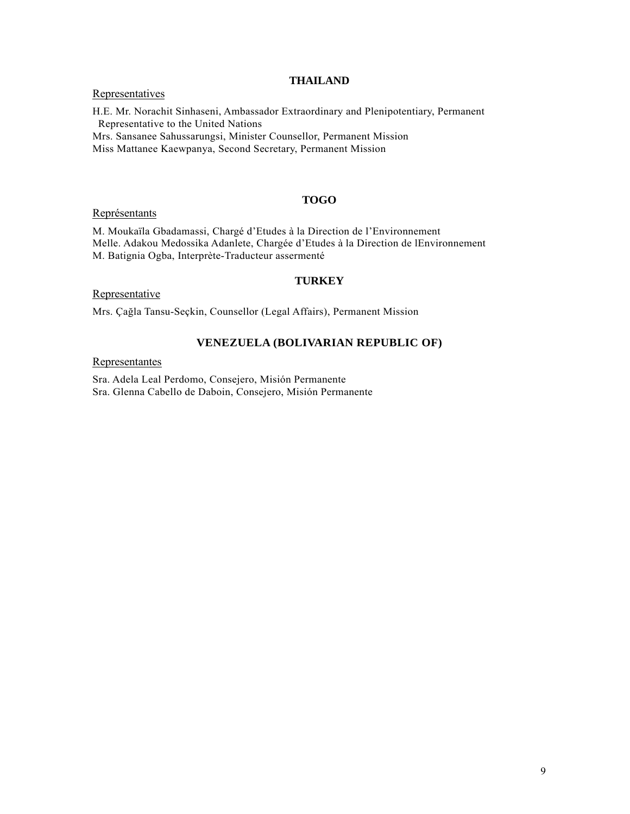## **THAILAND**

## Representatives

H.E. Mr. Norachit Sinhaseni, Ambassador Extraordinary and Plenipotentiary, Permanent Representative to the United Nations Mrs. Sansanee Sahussarungsi, Minister Counsellor, Permanent Mission Miss Mattanee Kaewpanya, Second Secretary, Permanent Mission

**TOGO** 

### Représentants

M. Moukaїla Gbadamassi, Chargé d'Etudes à la Direction de l'Environnement Melle. Adakou Medossika Adanlete, Chargée d'Etudes à la Direction de lEnvironnement M. Batignia Ogba, Interprète-Traducteur assermenté

### **TURKEY**

## Representative

Mrs. Çağla Tansu-Seçkin, Counsellor (Legal Affairs), Permanent Mission

# **VENEZUELA (BOLIVARIAN REPUBLIC OF)**

# Representantes

Sra. Adela Leal Perdomo, Consejero, Misión Permanente Sra. Glenna Cabello de Daboin, Consejero, Misión Permanente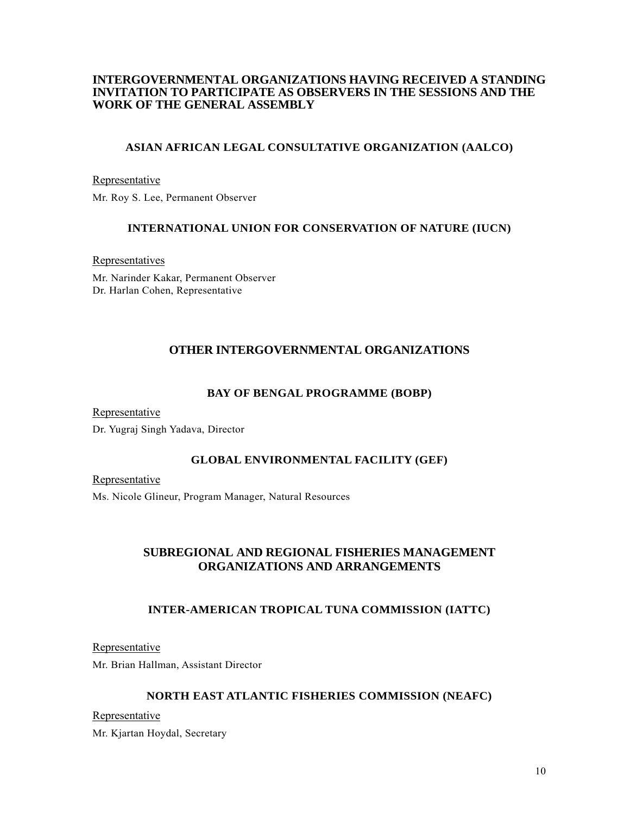# **INTERGOVERNMENTAL ORGANIZATIONS HAVING RECEIVED A STANDING INVITATION TO PARTICIPATE AS OBSERVERS IN THE SESSIONS AND THE WORK OF THE GENERAL ASSEMBLY**

# **ASIAN AFRICAN LEGAL CONSULTATIVE ORGANIZATION (AALCO)**

### Representative

Mr. Roy S. Lee, Permanent Observer

# **INTERNATIONAL UNION FOR CONSERVATION OF NATURE (IUCN)**

Representatives

Mr. Narinder Kakar, Permanent Observer Dr. Harlan Cohen, Representative

# **OTHER INTERGOVERNMENTAL ORGANIZATIONS**

## **BAY OF BENGAL PROGRAMME (BOBP)**

Representative

Dr. Yugraj Singh Yadava, Director

### **GLOBAL ENVIRONMENTAL FACILITY (GEF)**

Representative

Ms. Nicole Glineur, Program Manager, Natural Resources

# **SUBREGIONAL AND REGIONAL FISHERIES MANAGEMENT ORGANIZATIONS AND ARRANGEMENTS**

# **INTER-AMERICAN TROPICAL TUNA COMMISSION (IATTC)**

Representative

Mr. Brian Hallman, Assistant Director

## **NORTH EAST ATLANTIC FISHERIES COMMISSION (NEAFC)**

Representative

Mr. Kjartan Hoydal, Secretary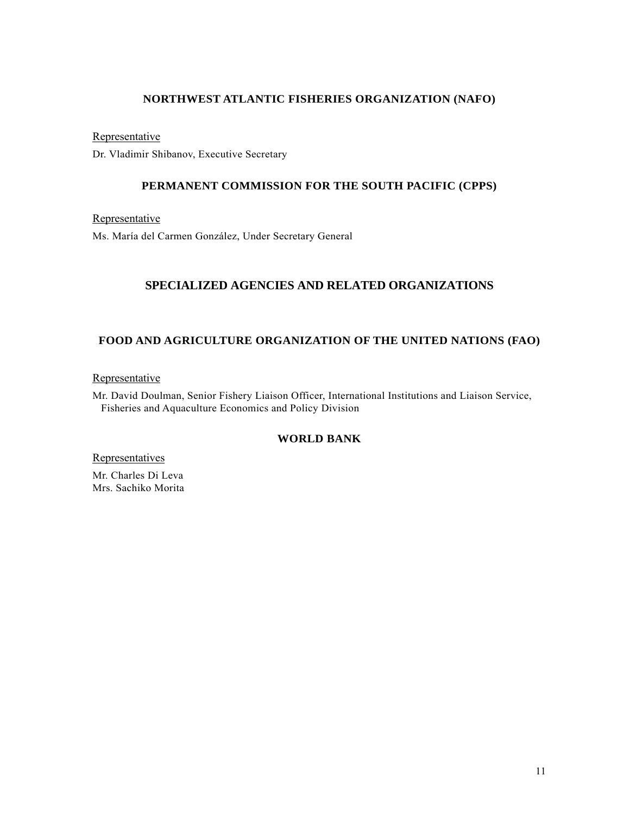# **NORTHWEST ATLANTIC FISHERIES ORGANIZATION (NAFO)**

Representative

Dr. Vladimir Shibanov, Executive Secretary

# **PERMANENT COMMISSION FOR THE SOUTH PACIFIC (CPPS)**

Representative

Ms. María del Carmen González, Under Secretary General

# **SPECIALIZED AGENCIES AND RELATED ORGANIZATIONS**

# **FOOD AND AGRICULTURE ORGANIZATION OF THE UNITED NATIONS (FAO)**

**Representative** 

Mr. David Doulman, Senior Fishery Liaison Officer, International Institutions and Liaison Service, Fisheries and Aquaculture Economics and Policy Division

# **WORLD BANK**

**Representatives** 

Mr. Charles Di Leva Mrs. Sachiko Morita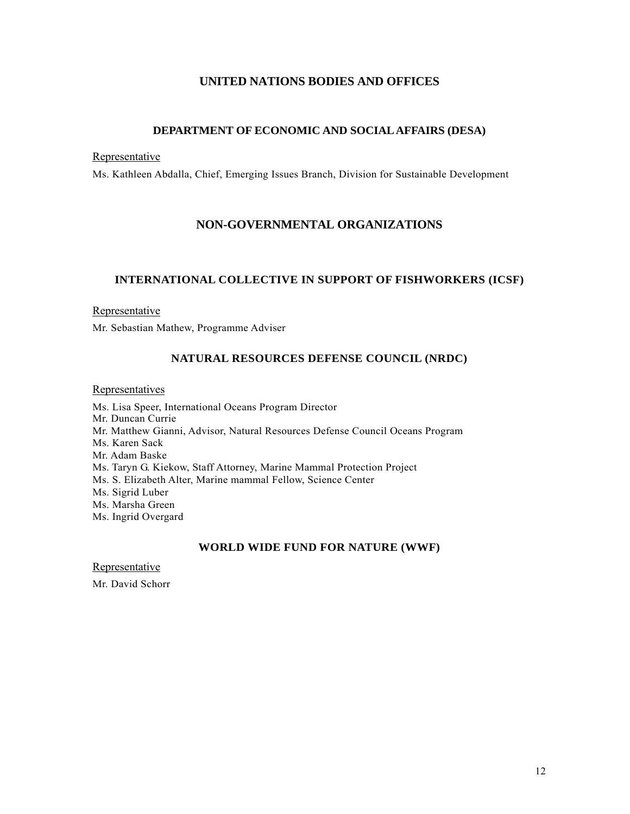# **UNITED NATIONS BODIES AND OFFICES**

# **DEPARTMENT OF ECONOMIC AND SOCIAL AFFAIRS (DESA)**

### **Representative**

Ms. Kathleen Abdalla, Chief, Emerging Issues Branch, Division for Sustainable Development

# **NON-GOVERNMENTAL ORGANIZATIONS**

# **INTERNATIONAL COLLECTIVE IN SUPPORT OF FISHWORKERS (ICSF)**

## Representative

Mr. Sebastian Mathew, Programme Adviser

## **NATURAL RESOURCES DEFENSE COUNCIL (NRDC)**

### **Representatives**

Ms. Lisa Speer, International Oceans Program Director Mr. Duncan Currie Mr. Matthew Gianni, Advisor, Natural Resources Defense Council Oceans Program Ms. Karen Sack Mr. Adam Baske Ms. Taryn G. Kiekow, Staff Attorney, Marine Mammal Protection Project Ms. S. Elizabeth Alter, Marine mammal Fellow, Science Center Ms. Sigrid Luber Ms. Marsha Green Ms. Ingrid Overgard

### **WORLD WIDE FUND FOR NATURE (WWF)**

Representative

Mr. David Schorr